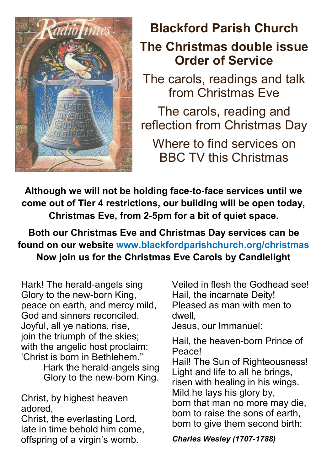

# **Blackford Parish Church The Christmas double issue Order of Service**

The carols, readings and talk from Christmas Eve

The carols, reading and reflection from Christmas Day

Where to find services on BBC TV this Christmas

**Although we will not be holding face-to-face services until we come out of Tier 4 restrictions, our building will be open today, Christmas Eve, from 2-5pm for a bit of quiet space.**

**Both our Christmas Eve and Christmas Day services can be found on our website www.blackfordparishchurch.org/christmas Now join us for the Christmas Eve Carols by Candlelight**

Hark! The herald-angels sing Glory to the new-born King, peace on earth, and mercy mild, God and sinners reconciled. Joyful, all ye nations, rise, join the triumph of the skies; with the angelic host proclaim: 'Christ is born in Bethlehem."

Hark the herald-angels sing Glory to the new-born King.

Christ, by highest heaven adored,

Christ, the everlasting Lord, late in time behold him come, offspring of a virgin's womb.

Veiled in flesh the Godhead see! Hail, the incarnate Deity! Pleased as man with men to dwell,

Jesus, our Immanuel:

Hail, the heaven-born Prince of Peace!

Hail! The Sun of Righteousness! Light and life to all he brings, risen with healing in his wings. Mild he lays his glory by,

born that man no more may die, born to raise the sons of earth, born to give them second birth:

*Charles Wesley (1707-1788)*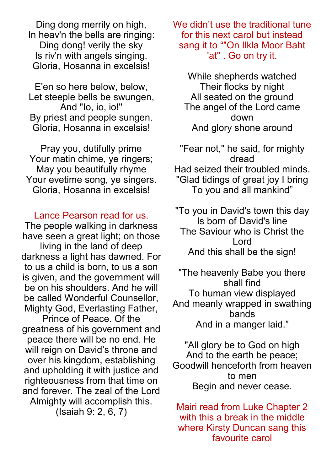Ding dong merrily on high, In heav'n the bells are ringing: Ding dong! verily the sky Is riv'n with angels singing. Gloria, Hosanna in excelsis!

E'en so here below, below, Let steeple bells be swungen, And "Io, io, io!" By priest and people sungen. Gloria, Hosanna in excelsis!

Pray you, dutifully prime Your matin chime, ye ringers; May you beautifully rhyme Your evetime song, ye singers. Gloria, Hosanna in excelsis!

Lance Pearson read for us.

The people walking in darkness have seen a great light; on those living in the land of deep darkness a light has dawned. For to us a child is born, to us a son is given, and the government will be on his shoulders. And he will be called Wonderful Counsellor, Mighty God, Everlasting Father, Prince of Peace. Of the greatness of his government and peace there will be no end. He will reign on David's throne and over his kingdom, establishing and upholding it with justice and righteousness from that time on and forever. The zeal of the Lord Almighty will accomplish this. (Isaiah 9: 2, 6, 7)

We didn't use the traditional tune for this next carol but instead sang it to ""On Ilkla Moor Baht 'at" . Go on try it.

While shepherds watched Their flocks by night All seated on the ground The angel of the Lord came down And glory shone around

"Fear not," he said, for mighty dread Had seized their troubled minds. "Glad tidings of great joy I bring To you and all mankind"

"To you in David's town this day Is born of David's line The Saviour who is Christ the Lord And this shall be the sign!

"The heavenly Babe you there shall find To human view displayed And meanly wrapped in swathing bands And in a manger laid."

"All glory be to God on high And to the earth be peace; Goodwill henceforth from heaven to men Begin and never cease.

Mairi read from Luke Chapter 2 with this a break in the middle where Kirsty Duncan sang this favourite carol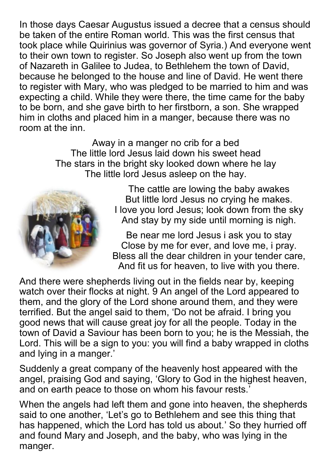In those days Caesar Augustus issued a decree that a census should be taken of the entire Roman world. This was the first census that took place while Quirinius was governor of Syria.) And everyone went to their own town to register. So Joseph also went up from the town of Nazareth in Galilee to Judea, to Bethlehem the town of David, because he belonged to the house and line of David. He went there to register with Mary, who was pledged to be married to him and was expecting a child. While they were there, the time came for the baby to be born, and she gave birth to her firstborn, a son. She wrapped him in cloths and placed him in a manger, because there was no room at the inn.

> Away in a manger no crib for a bed The little lord Jesus laid down his sweet head The stars in the bright sky looked down where he lay The little lord Jesus asleep on the hay.



The cattle are lowing the baby awakes But little lord Jesus no crying he makes. I love you lord Jesus; look down from the sky And stay by my side until morning is nigh.

Be near me lord Jesus i ask you to stay Close by me for ever, and love me, i pray. Bless all the dear children in your tender care, And fit us for heaven, to live with you there.

And there were shepherds living out in the fields near by, keeping watch over their flocks at night. 9 An angel of the Lord appeared to them, and the glory of the Lord shone around them, and they were terrified. But the angel said to them, 'Do not be afraid. I bring you good news that will cause great joy for all the people. Today in the town of David a Saviour has been born to you; he is the Messiah, the Lord. This will be a sign to you: you will find a baby wrapped in cloths and lying in a manger.'

Suddenly a great company of the heavenly host appeared with the angel, praising God and saying, 'Glory to God in the highest heaven, and on earth peace to those on whom his favour rests.'

When the angels had left them and gone into heaven, the shepherds said to one another, 'Let's go to Bethlehem and see this thing that has happened, which the Lord has told us about.' So they hurried off and found Mary and Joseph, and the baby, who was lying in the manger.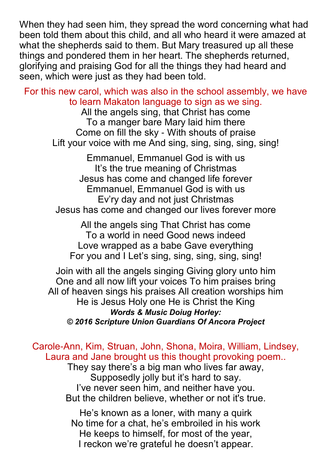When they had seen him, they spread the word concerning what had been told them about this child, and all who heard it were amazed at what the shepherds said to them. But Mary treasured up all these things and pondered them in her heart. The shepherds returned, glorifying and praising God for all the things they had heard and seen, which were just as they had been told.

#### For this new carol, which was also in the school assembly, we have to learn Makaton language to sign as we sing.

All the angels sing, that Christ has come To a manger bare Mary laid him there Come on fill the sky - With shouts of praise Lift your voice with me And sing, sing, sing, sing, sing!

Emmanuel, Emmanuel God is with us It's the true meaning of Christmas Jesus has come and changed life forever Emmanuel, Emmanuel God is with us Ev'ry day and not just Christmas Jesus has come and changed our lives forever more

All the angels sing That Christ has come To a world in need Good news indeed Love wrapped as a babe Gave everything For you and I Let's sing, sing, sing, sing, sing!

Join with all the angels singing Giving glory unto him One and all now lift your voices To him praises bring All of heaven sings his praises All creation worships him He is Jesus Holy one He is Christ the King *Words & Music Doiug Horley: © 2016 Scripture Union Guardians Of Ancora Project* 

Carole-Ann, Kim, Struan, John, Shona, Moira, William, Lindsey, Laura and Jane brought us this thought provoking poem..

> They say there's a big man who lives far away, Supposedly jolly but it's hard to say. I've never seen him, and neither have you. But the children believe, whether or not it's true.

He's known as a loner, with many a quirk No time for a chat, he's embroiled in his work He keeps to himself, for most of the year, I reckon we're grateful he doesn't appear.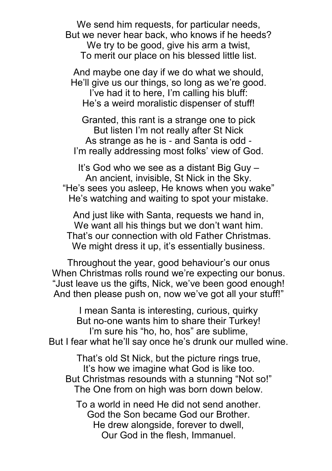We send him requests, for particular needs, But we never hear back, who knows if he heeds? We try to be good, give his arm a twist, To merit our place on his blessed little list.

And maybe one day if we do what we should, He'll give us our things, so long as we're good. I've had it to here, I'm calling his bluff: He's a weird moralistic dispenser of stuff!

Granted, this rant is a strange one to pick But listen I'm not really after St Nick As strange as he is - and Santa is odd - I'm really addressing most folks' view of God.

It's God who we see as a distant Big Guy – An ancient, invisible, St Nick in the Sky. "He's sees you asleep, He knows when you wake" He's watching and waiting to spot your mistake.

And just like with Santa, requests we hand in, We want all his things but we don't want him. That's our connection with old Father Christmas. We might dress it up, it's essentially business.

Throughout the year, good behaviour's our onus When Christmas rolls round we're expecting our bonus. "Just leave us the gifts, Nick, we've been good enough! And then please push on, now we've got all your stuff!"

I mean Santa is interesting, curious, quirky But no-one wants him to share their Turkey! I'm sure his "ho, ho, hos" are sublime, But I fear what he'll say once he's drunk our mulled wine.

That's old St Nick, but the picture rings true, It's how we imagine what God is like too. But Christmas resounds with a stunning "Not so!" The One from on high was born down below.

To a world in need He did not send another. God the Son became God our Brother. He drew alongside, forever to dwell, Our God in the flesh, Immanuel.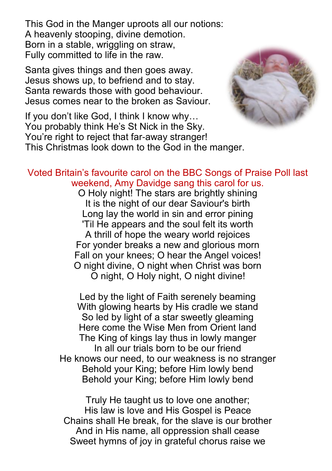This God in the Manger uproots all our notions: A heavenly stooping, divine demotion. Born in a stable, wriggling on straw, Fully committed to life in the raw.

Santa gives things and then goes away. Jesus shows up, to befriend and to stay. Santa rewards those with good behaviour. Jesus comes near to the broken as Saviour.



If you don't like God, I think I know why… You probably think He's St Nick in the Sky. You're right to reject that far-away stranger! This Christmas look down to the God in the manger.

#### Voted Britain's favourite carol on the BBC Songs of Praise Poll last weekend, Amy Davidge sang this carol for us.

O Holy night! The stars are brightly shining It is the night of our dear Saviour's birth Long lay the world in sin and error pining 'Til He appears and the soul felt its worth A thrill of hope the weary world rejoices For yonder breaks a new and glorious morn Fall on your knees; O hear the Angel voices! O night divine, O night when Christ was born O night, O Holy night, O night divine!

Led by the light of Faith serenely beaming With glowing hearts by His cradle we stand So led by light of a star sweetly gleaming Here come the Wise Men from Orient land The King of kings lay thus in lowly manger In all our trials born to be our friend He knows our need, to our weakness is no stranger Behold your King; before Him lowly bend Behold your King; before Him lowly bend

Truly He taught us to love one another; His law is love and His Gospel is Peace Chains shall He break, for the slave is our brother And in His name, all oppression shall cease Sweet hymns of joy in grateful chorus raise we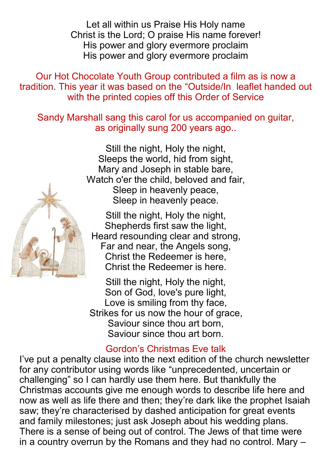Let all within us Praise His Holy name Christ is the Lord; O praise His name forever! His power and glory evermore proclaim His power and glory evermore proclaim

Our Hot Chocolate Youth Group contributed a film as is now a tradition. This year it was based on the "Outside/In leaflet handed out with the printed copies off this Order of Service

Sandy Marshall sang this carol for us accompanied on guitar, as originally sung 200 years ago..

Still the night, Holy the night, Sleeps the world, hid from sight, Mary and Joseph in stable bare, Watch o'er the child, beloved and fair. Sleep in heavenly peace, Sleep in heavenly peace.

Still the night, Holy the night, Shepherds first saw the light, Heard resounding clear and strong, Far and near, the Angels song, Christ the Redeemer is here. Christ the Redeemer is here.

Still the night, Holy the night, Son of God, love's pure light, Love is smiling from thy face, Strikes for us now the hour of grace. Saviour since thou art born, Saviour since thou art born.

#### Gordon's Christmas Eve talk

I've put a penalty clause into the next edition of the church newsletter for any contributor using words like "unprecedented, uncertain or challenging" so I can hardly use them here. But thankfully the Christmas accounts give me enough words to describe life here and now as well as life there and then; they're dark like the prophet Isaiah saw; they're characterised by dashed anticipation for great events and family milestones; just ask Joseph about his wedding plans. There is a sense of being out of control. The Jews of that time were in a country overrun by the Romans and they had no control. Mary –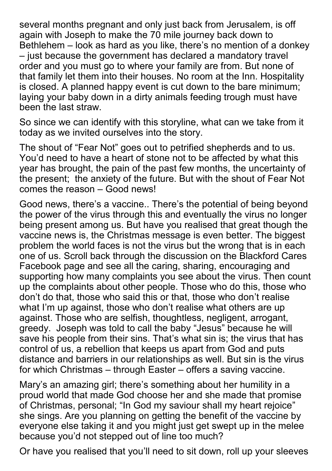several months pregnant and only just back from Jerusalem, is off again with Joseph to make the 70 mile journey back down to Bethlehem – look as hard as you like, there's no mention of a donkey – just because the government has declared a mandatory travel order and you must go to where your family are from. But none of that family let them into their houses. No room at the Inn. Hospitality is closed. A planned happy event is cut down to the bare minimum; laying your baby down in a dirty animals feeding trough must have been the last straw.

So since we can identify with this storyline, what can we take from it today as we invited ourselves into the story.

The shout of "Fear Not" goes out to petrified shepherds and to us. You'd need to have a heart of stone not to be affected by what this year has brought, the pain of the past few months, the uncertainty of the present; the anxiety of the future. But with the shout of Fear Not comes the reason – Good news!

Good news, there's a vaccine.. There's the potential of being beyond the power of the virus through this and eventually the virus no longer being present among us. But have you realised that great though the vaccine news is, the Christmas message is even better. The biggest problem the world faces is not the virus but the wrong that is in each one of us. Scroll back through the discussion on the Blackford Cares Facebook page and see all the caring, sharing, encouraging and supporting how many complaints you see about the virus. Then count up the complaints about other people. Those who do this, those who don't do that, those who said this or that, those who don't realise what I'm up against, those who don't realise what others are up against. Those who are selfish, thoughtless, negligent, arrogant, greedy. Joseph was told to call the baby "Jesus" because he will save his people from their sins. That's what sin is; the virus that has control of us, a rebellion that keeps us apart from God and puts distance and barriers in our relationships as well. But sin is the virus for which Christmas – through Easter – offers a saving vaccine.

Mary's an amazing girl; there's something about her humility in a proud world that made God choose her and she made that promise of Christmas, personal; "In God my saviour shall my heart rejoice" she sings. Are you planning on getting the benefit of the vaccine by everyone else taking it and you might just get swept up in the melee because you'd not stepped out of line too much?

Or have you realised that you'll need to sit down, roll up your sleeves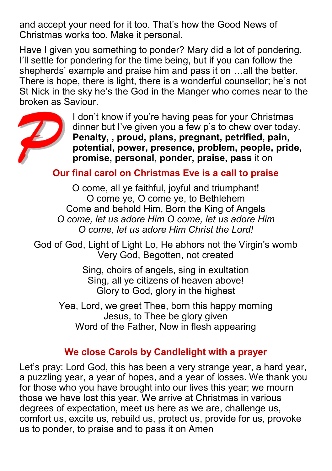and accept your need for it too. That's how the Good News of Christmas works too. Make it personal.

Have I given you something to ponder? Mary did a lot of pondering. I'll settle for pondering for the time being, but if you can follow the shepherds' example and praise him and pass it on …all the better. There is hope, there is light, there is a wonderful counsellor; he's not St Nick in the sky he's the God in the Manger who comes near to the broken as Saviour.



I don't know if you're having peas for your Christmas dinner but I've given you a few p's to chew over today. **Penalty, , proud, plans, pregnant, petrified, pain, potential, power, presence, problem, people, pride, promise, personal, ponder, praise, pass** it on

#### **Our final carol on Christmas Eve is a call to praise**

O come, all ye faithful, joyful and triumphant! O come ye, O come ye, to Bethlehem Come and behold Him, Born the King of Angels *O come, let us adore Him O come, let us adore Him O come, let us adore Him Christ the Lord!*

God of God, Light of Light Lo, He abhors not the Virgin's womb Very God, Begotten, not created

> Sing, choirs of angels, sing in exultation Sing, all ye citizens of heaven above! Glory to God, glory in the highest

Yea, Lord, we greet Thee, born this happy morning Jesus, to Thee be glory given Word of the Father, Now in flesh appearing

#### **We close Carols by Candlelight with a prayer**

Let's pray: Lord God, this has been a very strange year, a hard year, a puzzling year, a year of hopes, and a year of losses. We thank you for those who you have brought into our lives this year; we mourn those we have lost this year. We arrive at Christmas in various degrees of expectation, meet us here as we are, challenge us, comfort us, excite us, rebuild us, protect us, provide for us, provoke us to ponder, to praise and to pass it on Amen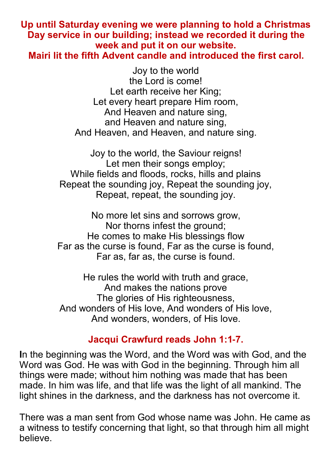**Up until Saturday evening we were planning to hold a Christmas Day service in our building; instead we recorded it during the week and put it on our website.**

**Mairi lit the fifth Advent candle and introduced the first carol.**

Joy to the world the Lord is come! Let earth receive her King; Let every heart prepare Him room, And Heaven and nature sing, and Heaven and nature sing, And Heaven, and Heaven, and nature sing.

Joy to the world, the Saviour reigns! Let men their songs employ: While fields and floods, rocks, hills and plains Repeat the sounding joy, Repeat the sounding joy, Repeat, repeat, the sounding joy.

No more let sins and sorrows grow, Nor thorns infest the ground; He comes to make His blessings flow Far as the curse is found, Far as the curse is found, Far as, far as, the curse is found.

He rules the world with truth and grace, And makes the nations prove The glories of His righteousness, And wonders of His love, And wonders of His love, And wonders, wonders, of His love.

#### **Jacqui Crawfurd reads John 1:1-7.**

**I**n the beginning was the Word, and the Word was with God, and the Word was God. He was with God in the beginning. Through him all things were made; without him nothing was made that has been made. In him was life, and that life was the light of all mankind. The light shines in the darkness, and the darkness has not overcome it.

There was a man sent from God whose name was John. He came as a witness to testify concerning that light, so that through him all might believe.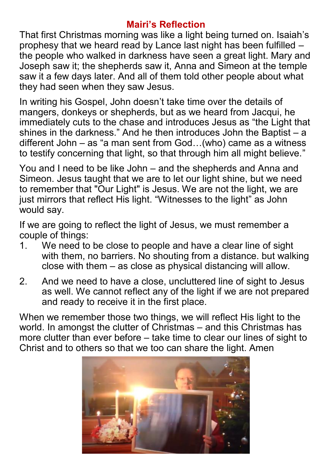#### **Mairi's Reflection**

That first Christmas morning was like a light being turned on. Isaiah's prophesy that we heard read by Lance last night has been fulfilled – the people who walked in darkness have seen a great light. Mary and Joseph saw it; the shepherds saw it, Anna and Simeon at the temple saw it a few days later. And all of them told other people about what they had seen when they saw Jesus.

In writing his Gospel, John doesn't take time over the details of mangers, donkeys or shepherds, but as we heard from Jacqui, he immediately cuts to the chase and introduces Jesus as "the Light that shines in the darkness." And he then introduces John the Baptist – a different John – as "a man sent from God…(who) came as a witness to testify concerning that light, so that through him all might believe."

You and I need to be like John – and the shepherds and Anna and Simeon. Jesus taught that we are to let our light shine, but we need to remember that "Our Light" is Jesus. We are not the light, we are just mirrors that reflect His light. "Witnesses to the light" as John would say.

If we are going to reflect the light of Jesus, we must remember a couple of things:

- 1. We need to be close to people and have a clear line of sight with them, no barriers. No shouting from a distance. but walking close with them – as close as physical distancing will allow.
- 2. And we need to have a close, uncluttered line of sight to Jesus as well. We cannot reflect any of the light if we are not prepared and ready to receive it in the first place.

When we remember those two things, we will reflect His light to the world. In amongst the clutter of Christmas – and this Christmas has more clutter than ever before – take time to clear our lines of sight to Christ and to others so that we too can share the light. Amen